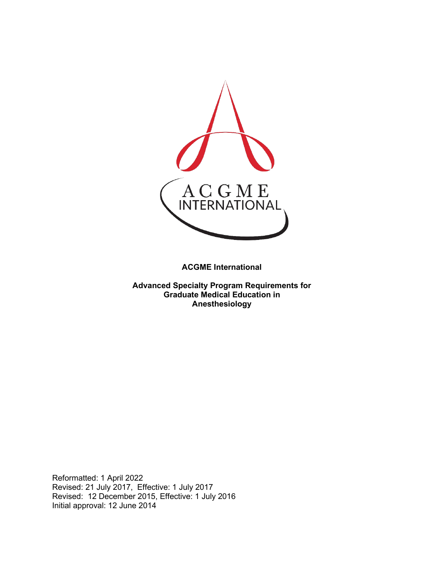

**ACGME International** 

**Advanced Specialty Program Requirements for Graduate Medical Education in Anesthesiology**

Reformatted: 1 April 2022 Revised: 21 July 2017, Effective: 1 July 2017 Revised: 12 December 2015, Effective: 1 July 2016 Initial approval: 12 June 2014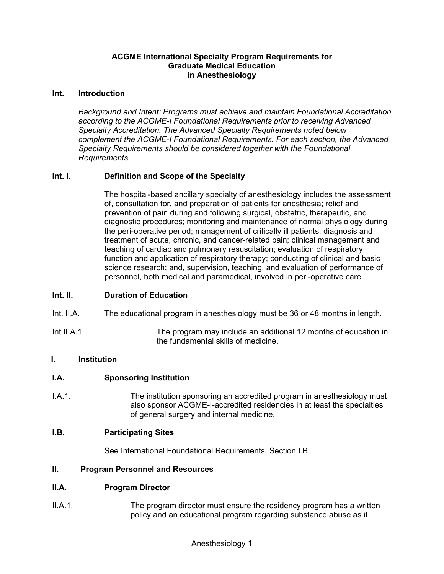#### **ACGME International Specialty Program Requirements for Graduate Medical Education in Anesthesiology**

#### **Int. Introduction**

*Background and Intent: Programs must achieve and maintain Foundational Accreditation according to the ACGME-I Foundational Requirements prior to receiving Advanced Specialty Accreditation. The Advanced Specialty Requirements noted below complement the ACGME-I Foundational Requirements. For each section, the Advanced Specialty Requirements should be considered together with the Foundational Requirements.*

#### **Int. I. Definition and Scope of the Specialty**

The hospital-based ancillary specialty of anesthesiology includes the assessment of, consultation for, and preparation of patients for anesthesia; relief and prevention of pain during and following surgical, obstetric, therapeutic, and diagnostic procedures; monitoring and maintenance of normal physiology during the peri-operative period; management of critically ill patients; diagnosis and treatment of acute, chronic, and cancer-related pain; clinical management and teaching of cardiac and pulmonary resuscitation; evaluation of respiratory function and application of respiratory therapy; conducting of clinical and basic science research; and, supervision, teaching, and evaluation of performance of personnel, both medical and paramedical, involved in peri-operative care.

#### **Int. II. Duration of Education**

- Int. II.A. The educational program in anesthesiology must be 36 or 48 months in length.
- Int.II.A.1. The program may include an additional 12 months of education in the fundamental skills of medicine.

### **I. Institution**

#### **I.A. Sponsoring Institution**

I.A.1. The institution sponsoring an accredited program in anesthesiology must also sponsor ACGME-I-accredited residencies in at least the specialties of general surgery and internal medicine.

#### **I.B. Participating Sites**

See International Foundational Requirements, Section I.B.

#### **II. Program Personnel and Resources**

#### **II.A. Program Director**

II.A.1. The program director must ensure the residency program has a written policy and an educational program regarding substance abuse as it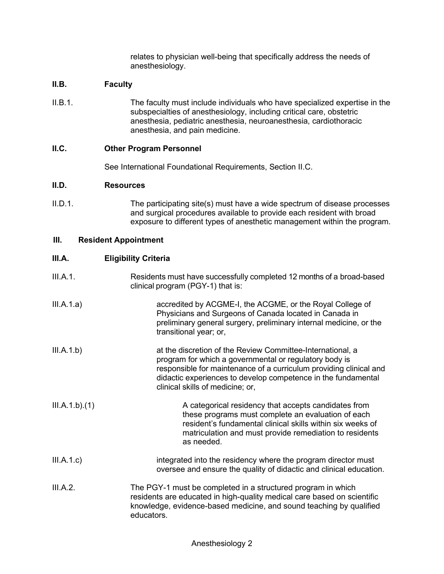relates to physician well-being that specifically address the needs of anesthesiology.

### **II.B. Faculty**

II.B.1. The faculty must include individuals who have specialized expertise in the subspecialties of anesthesiology, including critical care, obstetric anesthesia, pediatric anesthesia, neuroanesthesia, cardiothoracic anesthesia, and pain medicine.

### **II.C. Other Program Personnel**

See International Foundational Requirements, Section II.C.

#### **II.D. Resources**

II.D.1. The participating site(s) must have a wide spectrum of disease processes and surgical procedures available to provide each resident with broad exposure to different types of anesthetic management within the program.

#### **III. Resident Appointment**

#### **III.A. Eligibility Criteria**

| III.A.1. | Residents must have successfully completed 12 months of a broad-based |
|----------|-----------------------------------------------------------------------|
|          | clinical program (PGY-1) that is:                                     |

- III.A.1.a) accredited by ACGME-I, the ACGME, or the Royal College of Physicians and Surgeons of Canada located in Canada in preliminary general surgery, preliminary internal medicine, or the transitional year; or,
- III.A.1.b) at the discretion of the Review Committee-International, a program for which a governmental or regulatory body is responsible for maintenance of a curriculum providing clinical and didactic experiences to develop competence in the fundamental clinical skills of medicine; or,
- III.A.1.b).(1) A categorical residency that accepts candidates from these programs must complete an evaluation of each resident's fundamental clinical skills within six weeks of matriculation and must provide remediation to residents as needed.
- III.A.1.c) integrated into the residency where the program director must oversee and ensure the quality of didactic and clinical education.
- III.A.2. The PGY-1 must be completed in a structured program in which residents are educated in high-quality medical care based on scientific knowledge, evidence-based medicine, and sound teaching by qualified educators.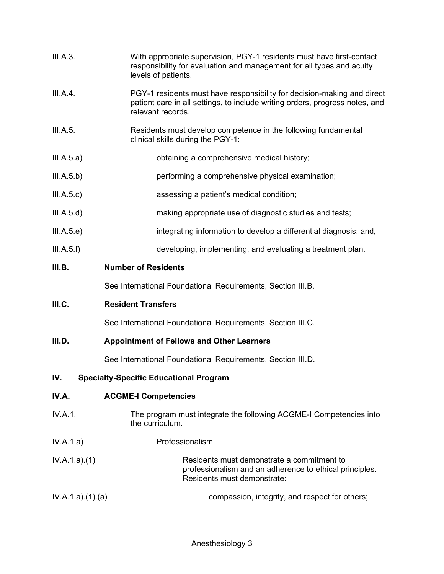| III.A.3.   | With appropriate supervision, PGY-1 residents must have first-contact<br>responsibility for evaluation and management for all types and acuity<br>levels of patients.        |
|------------|------------------------------------------------------------------------------------------------------------------------------------------------------------------------------|
| III.A.4.   | PGY-1 residents must have responsibility for decision-making and direct<br>patient care in all settings, to include writing orders, progress notes, and<br>relevant records. |
| III.A.5.   | Residents must develop competence in the following fundamental<br>clinical skills during the PGY-1:                                                                          |
| III.A.5.a) | obtaining a comprehensive medical history;                                                                                                                                   |
| III.A.5.b) | performing a comprehensive physical examination;                                                                                                                             |
| III.A.5.c) | assessing a patient's medical condition;                                                                                                                                     |
| III.A.5.d) | making appropriate use of diagnostic studies and tests;                                                                                                                      |
| III.A.5.e) | integrating information to develop a differential diagnosis; and,                                                                                                            |
| III.A.5.f) | developing, implementing, and evaluating a treatment plan.                                                                                                                   |
| III.B.     | <b>Number of Residents</b>                                                                                                                                                   |

See International Foundational Requirements, Section III.B.

# **III.C. Resident Transfers**

See International Foundational Requirements, Section III.C.

# **III.D. Appointment of Fellows and Other Learners**

See International Foundational Requirements, Section III.D.

# **IV. Specialty-Specific Educational Program**

| IV.A. | <b>ACGME-I Competencies</b> |
|-------|-----------------------------|
|-------|-----------------------------|

- IV.A.1. The program must integrate the following ACGME-I Competencies into the curriculum.
- IV.A.1.a) Professionalism
- IV.A.1.a).(1) Residents must demonstrate a commitment to professionalism and an adherence to ethical principles**.** Residents must demonstrate:
- IV.A.1.a).(1).(a) compassion, integrity, and respect for others;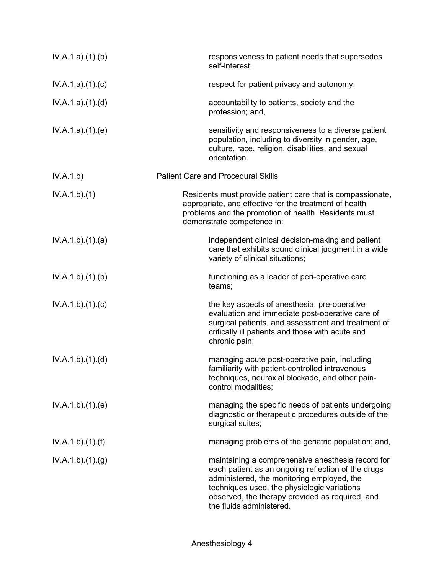| IV.A.1.a)(1)(b) | responsiveness to patient needs that supersedes<br>self-interest;                                                                                                                                                                                                                   |
|-----------------|-------------------------------------------------------------------------------------------------------------------------------------------------------------------------------------------------------------------------------------------------------------------------------------|
| IV.A.1.a)(1)(c) | respect for patient privacy and autonomy;                                                                                                                                                                                                                                           |
| IV.A.1.a)(1)(d) | accountability to patients, society and the<br>profession; and,                                                                                                                                                                                                                     |
| IV.A.1.a)(1)(e) | sensitivity and responsiveness to a diverse patient<br>population, including to diversity in gender, age,<br>culture, race, religion, disabilities, and sexual<br>orientation.                                                                                                      |
| IV.A.1.b)       | <b>Patient Care and Procedural Skills</b>                                                                                                                                                                                                                                           |
| IV.A.1.b)(1)    | Residents must provide patient care that is compassionate,<br>appropriate, and effective for the treatment of health<br>problems and the promotion of health. Residents must<br>demonstrate competence in:                                                                          |
| IV.A.1.b)(1)(a) | independent clinical decision-making and patient<br>care that exhibits sound clinical judgment in a wide<br>variety of clinical situations;                                                                                                                                         |
| IV.A.1.b)(1)(b) | functioning as a leader of peri-operative care<br>teams;                                                                                                                                                                                                                            |
| IV.A.1.b)(1)(c) | the key aspects of anesthesia, pre-operative<br>evaluation and immediate post-operative care of<br>surgical patients, and assessment and treatment of<br>critically ill patients and those with acute and<br>chronic pain;                                                          |
| IV.A.1.b)(1)(d) | managing acute post-operative pain, including<br>familiarity with patient-controlled intravenous<br>techniques, neuraxial blockade, and other pain-<br>control modalities;                                                                                                          |
| IV.A.1.b)(1)(e) | managing the specific needs of patients undergoing<br>diagnostic or therapeutic procedures outside of the<br>surgical suites;                                                                                                                                                       |
| IV.A.1.b)(1)(f) | managing problems of the geriatric population; and,                                                                                                                                                                                                                                 |
| IV.A.1.b)(1)(g) | maintaining a comprehensive anesthesia record for<br>each patient as an ongoing reflection of the drugs<br>administered, the monitoring employed, the<br>techniques used, the physiologic variations<br>observed, the therapy provided as required, and<br>the fluids administered. |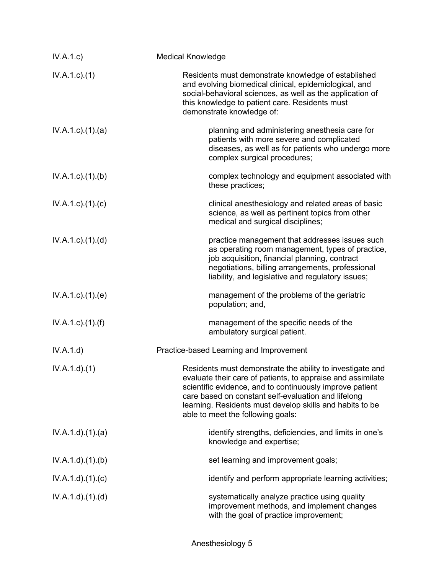| IV.A.1.c)                   | <b>Medical Knowledge</b>                                                                                                                                                                                                                                                                                                                     |
|-----------------------------|----------------------------------------------------------------------------------------------------------------------------------------------------------------------------------------------------------------------------------------------------------------------------------------------------------------------------------------------|
| $IV.A.1.c.$ (1)             | Residents must demonstrate knowledge of established<br>and evolving biomedical clinical, epidemiological, and<br>social-behavioral sciences, as well as the application of<br>this knowledge to patient care. Residents must<br>demonstrate knowledge of:                                                                                    |
| $IV.A.1.c.$ $(1).$ $(a)$    | planning and administering anesthesia care for<br>patients with more severe and complicated<br>diseases, as well as for patients who undergo more<br>complex surgical procedures;                                                                                                                                                            |
| IV.A.1.c)(1)(b)             | complex technology and equipment associated with<br>these practices;                                                                                                                                                                                                                                                                         |
| $IV.A.1.c$ ). $(1).$ (c)    | clinical anesthesiology and related areas of basic<br>science, as well as pertinent topics from other<br>medical and surgical disciplines;                                                                                                                                                                                                   |
| IV.A.1.c)(1).(d)            | practice management that addresses issues such<br>as operating room management, types of practice,<br>job acquisition, financial planning, contract<br>negotiations, billing arrangements, professional<br>liability, and legislative and regulatory issues;                                                                                 |
| IV.A.1.c.1(1).(e)           | management of the problems of the geriatric<br>population; and,                                                                                                                                                                                                                                                                              |
| $IV.A.1.c$ ). $(1)$ . $(f)$ | management of the specific needs of the<br>ambulatory surgical patient.                                                                                                                                                                                                                                                                      |
| IV.A.1.d)                   | Practice-based Learning and Improvement                                                                                                                                                                                                                                                                                                      |
| IV.A.1.d)(1)                | Residents must demonstrate the ability to investigate and<br>evaluate their care of patients, to appraise and assimilate<br>scientific evidence, and to continuously improve patient<br>care based on constant self-evaluation and lifelong<br>learning. Residents must develop skills and habits to be<br>able to meet the following goals: |
| IV.A.1.d.(1).(a)            | identify strengths, deficiencies, and limits in one's<br>knowledge and expertise;                                                                                                                                                                                                                                                            |
| IV.A.1.d.(1)(b)             | set learning and improvement goals;                                                                                                                                                                                                                                                                                                          |
| IV.A.1.d)(1)(c)             | identify and perform appropriate learning activities;                                                                                                                                                                                                                                                                                        |
| IV.A.1.d)(1)(d)             | systematically analyze practice using quality<br>improvement methods, and implement changes<br>with the goal of practice improvement;                                                                                                                                                                                                        |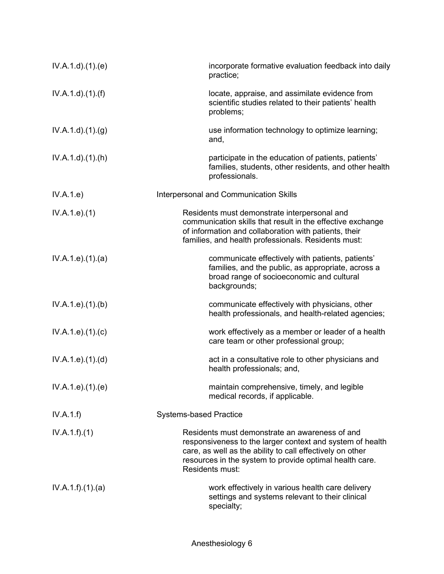| IV.A.1.d.(1).(e)       | incorporate formative evaluation feedback into daily<br>practice;                                                                                                                                                                                      |
|------------------------|--------------------------------------------------------------------------------------------------------------------------------------------------------------------------------------------------------------------------------------------------------|
| $IV.A.1.d$ . $(1).(f)$ | locate, appraise, and assimilate evidence from<br>scientific studies related to their patients' health<br>problems;                                                                                                                                    |
| IV.A.1.d).(1).(g)      | use information technology to optimize learning;<br>and,                                                                                                                                                                                               |
| IV.A.1.d)(1.(h))       | participate in the education of patients, patients'<br>families, students, other residents, and other health<br>professionals.                                                                                                                         |
| IV.A.1.e)              | Interpersonal and Communication Skills                                                                                                                                                                                                                 |
| IV.A.1.e).(1)          | Residents must demonstrate interpersonal and<br>communication skills that result in the effective exchange<br>of information and collaboration with patients, their<br>families, and health professionals. Residents must:                             |
| IV.A.1.e. (1). (a)     | communicate effectively with patients, patients'<br>families, and the public, as appropriate, across a<br>broad range of socioeconomic and cultural<br>backgrounds;                                                                                    |
| IV.A.1.e. (1)(b)       | communicate effectively with physicians, other<br>health professionals, and health-related agencies;                                                                                                                                                   |
| IV.A.1.e. (1). (c)     | work effectively as a member or leader of a health<br>care team or other professional group;                                                                                                                                                           |
| IV.A.1.e. (1). (d)     | act in a consultative role to other physicians and<br>health professionals; and,                                                                                                                                                                       |
| IV.A.1.e. (1). (e)     | maintain comprehensive, timely, and legible<br>medical records, if applicable.                                                                                                                                                                         |
| IV.A.1.f)              | <b>Systems-based Practice</b>                                                                                                                                                                                                                          |
| IV.A.1.f)(1)           | Residents must demonstrate an awareness of and<br>responsiveness to the larger context and system of health<br>care, as well as the ability to call effectively on other<br>resources in the system to provide optimal health care.<br>Residents must: |
| IV.A.1.f)(1)(a)        | work effectively in various health care delivery<br>settings and systems relevant to their clinical<br>specialty;                                                                                                                                      |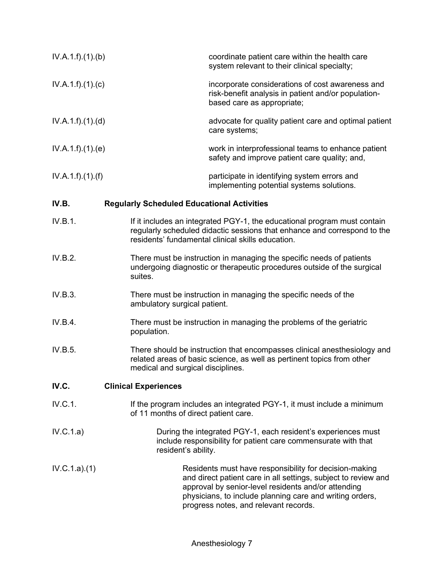| IV.A.1.f)(1)(b) |                                                   | coordinate patient care within the health care<br>system relevant to their clinical specialty;                                                                                                            |
|-----------------|---------------------------------------------------|-----------------------------------------------------------------------------------------------------------------------------------------------------------------------------------------------------------|
| IV.A.1.f)(1)(c) |                                                   | incorporate considerations of cost awareness and<br>risk-benefit analysis in patient and/or population-<br>based care as appropriate;                                                                     |
| IV.A.1.f)(1)(d) |                                                   | advocate for quality patient care and optimal patient<br>care systems;                                                                                                                                    |
| IV.A.1.f)(1)(e) |                                                   | work in interprofessional teams to enhance patient<br>safety and improve patient care quality; and,                                                                                                       |
| IV.A.1.f)(1)(f) |                                                   | participate in identifying system errors and<br>implementing potential systems solutions.                                                                                                                 |
| IV.B.           | <b>Regularly Scheduled Educational Activities</b> |                                                                                                                                                                                                           |
| IV.B.1.         |                                                   | If it includes an integrated PGY-1, the educational program must contain<br>regularly scheduled didactic sessions that enhance and correspond to the<br>residents' fundamental clinical skills education. |

- IV.B.2. There must be instruction in managing the specific needs of patients undergoing diagnostic or therapeutic procedures outside of the surgical suites.
- IV.B.3. There must be instruction in managing the specific needs of the ambulatory surgical patient.
- IV.B.4. There must be instruction in managing the problems of the geriatric population.
- IV.B.5. There should be instruction that encompasses clinical anesthesiology and related areas of basic science, as well as pertinent topics from other medical and surgical disciplines.

### **IV.C. Clinical Experiences**

- IV.C.1. If the program includes an integrated PGY-1, it must include a minimum of 11 months of direct patient care.
- IV.C.1.a) During the integrated PGY-1, each resident's experiences must include responsibility for patient care commensurate with that resident's ability.

IV.C.1.a).(1) Residents must have responsibility for decision-making and direct patient care in all settings, subject to review and approval by senior-level residents and/or attending physicians, to include planning care and writing orders, progress notes, and relevant records.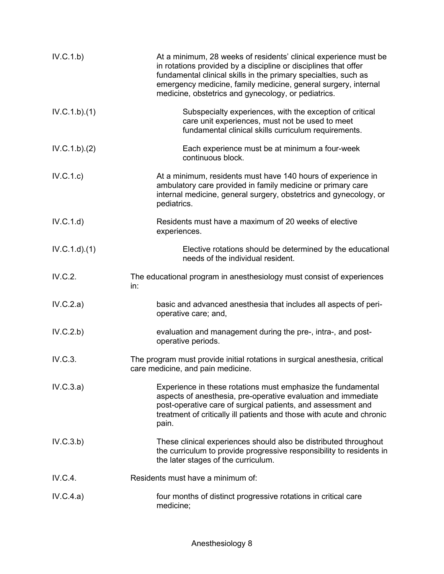| IV.C.1.b)    | At a minimum, 28 weeks of residents' clinical experience must be<br>in rotations provided by a discipline or disciplines that offer<br>fundamental clinical skills in the primary specialties, such as<br>emergency medicine, family medicine, general surgery, internal<br>medicine, obstetrics and gynecology, or pediatrics. |
|--------------|---------------------------------------------------------------------------------------------------------------------------------------------------------------------------------------------------------------------------------------------------------------------------------------------------------------------------------|
| IV.C.1.b)(1) | Subspecialty experiences, with the exception of critical<br>care unit experiences, must not be used to meet<br>fundamental clinical skills curriculum requirements.                                                                                                                                                             |
| IV.C.1.b)(2) | Each experience must be at minimum a four-week<br>continuous block.                                                                                                                                                                                                                                                             |
| IV.C.1.c)    | At a minimum, residents must have 140 hours of experience in<br>ambulatory care provided in family medicine or primary care<br>internal medicine, general surgery, obstetrics and gynecology, or<br>pediatrics.                                                                                                                 |
| IV.C.1.d)    | Residents must have a maximum of 20 weeks of elective<br>experiences.                                                                                                                                                                                                                                                           |
| IV.C.1.d)(1) | Elective rotations should be determined by the educational<br>needs of the individual resident.                                                                                                                                                                                                                                 |
| IV.C.2.      | The educational program in anesthesiology must consist of experiences<br>in:                                                                                                                                                                                                                                                    |
| IV.C.2.a)    | basic and advanced anesthesia that includes all aspects of peri-<br>operative care; and,                                                                                                                                                                                                                                        |
| IV.C.2.b)    | evaluation and management during the pre-, intra-, and post-<br>operative periods.                                                                                                                                                                                                                                              |
| IV.C.3.      | The program must provide initial rotations in surgical anesthesia, critical<br>care medicine, and pain medicine.                                                                                                                                                                                                                |
| IV.C.3.a)    | Experience in these rotations must emphasize the fundamental<br>aspects of anesthesia, pre-operative evaluation and immediate<br>post-operative care of surgical patients, and assessment and<br>treatment of critically ill patients and those with acute and chronic<br>pain.                                                 |
| IV.C.3.b)    | These clinical experiences should also be distributed throughout<br>the curriculum to provide progressive responsibility to residents in<br>the later stages of the curriculum.                                                                                                                                                 |
| IV.C.4.      | Residents must have a minimum of:                                                                                                                                                                                                                                                                                               |
| IV.C.4.a)    | four months of distinct progressive rotations in critical care<br>medicine;                                                                                                                                                                                                                                                     |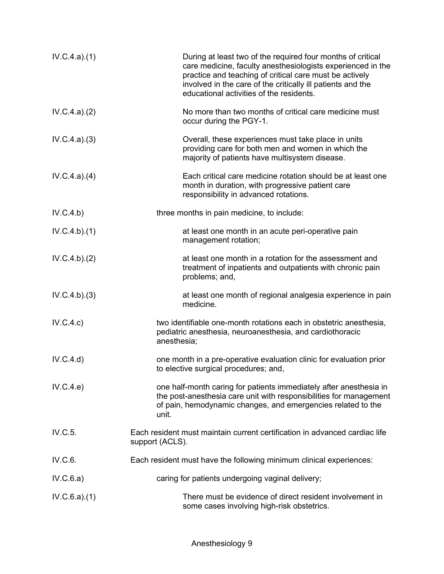| IV.C.4.a)(1) | During at least two of the required four months of critical<br>care medicine, faculty anesthesiologists experienced in the<br>practice and teaching of critical care must be actively<br>involved in the care of the critically ill patients and the<br>educational activities of the residents. |
|--------------|--------------------------------------------------------------------------------------------------------------------------------------------------------------------------------------------------------------------------------------------------------------------------------------------------|
| IV.C.4.a)(2) | No more than two months of critical care medicine must<br>occur during the PGY-1.                                                                                                                                                                                                                |
| IV.C.4.a)(3) | Overall, these experiences must take place in units<br>providing care for both men and women in which the<br>majority of patients have multisystem disease.                                                                                                                                      |
| IV.C.4.a)(4) | Each critical care medicine rotation should be at least one<br>month in duration, with progressive patient care<br>responsibility in advanced rotations.                                                                                                                                         |
| IV.C.4.b)    | three months in pain medicine, to include:                                                                                                                                                                                                                                                       |
| IV.C.4.b)(1) | at least one month in an acute peri-operative pain<br>management rotation;                                                                                                                                                                                                                       |
| IV.C.4.b)(2) | at least one month in a rotation for the assessment and<br>treatment of inpatients and outpatients with chronic pain<br>problems; and,                                                                                                                                                           |
| IV.C.4.b)(3) | at least one month of regional analgesia experience in pain<br>medicine.                                                                                                                                                                                                                         |
| IV.C.4.c)    | two identifiable one-month rotations each in obstetric anesthesia,<br>pediatric anesthesia, neuroanesthesia, and cardiothoracic<br>anesthesia;                                                                                                                                                   |
| IV.C.4.d)    | one month in a pre-operative evaluation clinic for evaluation prior<br>to elective surgical procedures; and,                                                                                                                                                                                     |
| IV.C.4.e)    | one half-month caring for patients immediately after anesthesia in<br>the post-anesthesia care unit with responsibilities for management<br>of pain, hemodynamic changes, and emergencies related to the<br>unit.                                                                                |
| IV.C.5.      | Each resident must maintain current certification in advanced cardiac life<br>support (ACLS).                                                                                                                                                                                                    |
| IV.C.6.      | Each resident must have the following minimum clinical experiences:                                                                                                                                                                                                                              |
| IV.C.6.a)    | caring for patients undergoing vaginal delivery;                                                                                                                                                                                                                                                 |
| IV.C.6.a)(1) | There must be evidence of direct resident involvement in<br>some cases involving high-risk obstetrics.                                                                                                                                                                                           |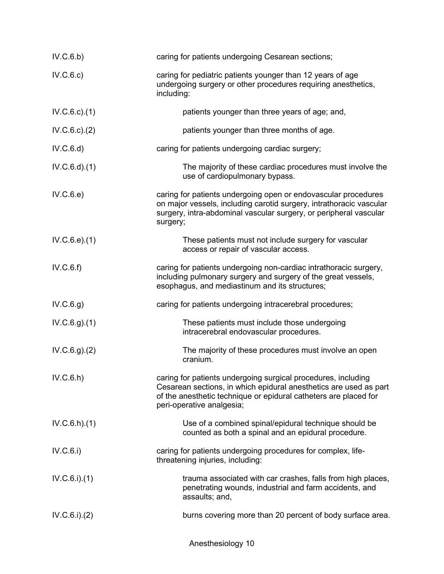| IV.C.6.b)        | caring for patients undergoing Cesarean sections;                                                                                                                                                                                   |
|------------------|-------------------------------------------------------------------------------------------------------------------------------------------------------------------------------------------------------------------------------------|
| IV.C.6.c)        | caring for pediatric patients younger than 12 years of age<br>undergoing surgery or other procedures requiring anesthetics,<br>including:                                                                                           |
| IV.C.6.c.1)      | patients younger than three years of age; and,                                                                                                                                                                                      |
| IV.C.6.c.2)      | patients younger than three months of age.                                                                                                                                                                                          |
| IV.C.6.d)        | caring for patients undergoing cardiac surgery;                                                                                                                                                                                     |
| $IV.C.6.d$ $(1)$ | The majority of these cardiac procedures must involve the<br>use of cardiopulmonary bypass.                                                                                                                                         |
| IV.C.6.e)        | caring for patients undergoing open or endovascular procedures<br>on major vessels, including carotid surgery, intrathoracic vascular<br>surgery, intra-abdominal vascular surgery, or peripheral vascular<br>surgery;              |
| IV.C.6.e.1)      | These patients must not include surgery for vascular<br>access or repair of vascular access.                                                                                                                                        |
| IV.C.6.f)        | caring for patients undergoing non-cardiac intrathoracic surgery,<br>including pulmonary surgery and surgery of the great vessels,<br>esophagus, and mediastinum and its structures;                                                |
| IV.C.6.g)        | caring for patients undergoing intracerebral procedures;                                                                                                                                                                            |
| IV.C.6.g. (1)    | These patients must include those undergoing<br>intracerebral endovascular procedures.                                                                                                                                              |
| IV.C.6.g. (2)    | The majority of these procedures must involve an open<br>cranium.                                                                                                                                                                   |
| IV.C.6.h)        | caring for patients undergoing surgical procedures, including<br>Cesarean sections, in which epidural anesthetics are used as part<br>of the anesthetic technique or epidural catheters are placed for<br>peri-operative analgesia; |
| IV.C.6.h)(1)     | Use of a combined spinal/epidural technique should be<br>counted as both a spinal and an epidural procedure.                                                                                                                        |
| IV.C.6.i)        | caring for patients undergoing procedures for complex, life-<br>threatening injuries, including:                                                                                                                                    |
| IV.C.6.i)(1)     | trauma associated with car crashes, falls from high places,<br>penetrating wounds, industrial and farm accidents, and<br>assaults; and,                                                                                             |
| IV.C.6.i)(2)     | burns covering more than 20 percent of body surface area.                                                                                                                                                                           |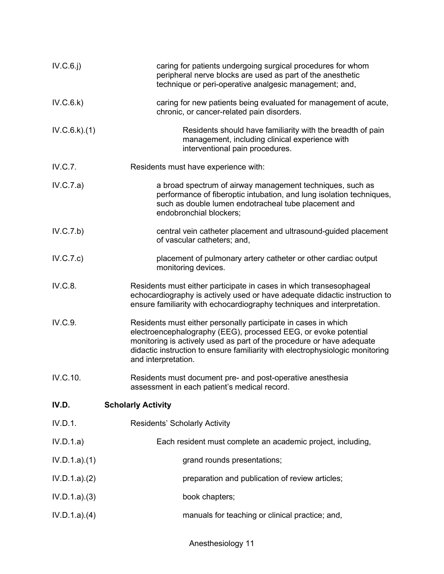| caring for patients undergoing surgical procedures for whom<br>peripheral nerve blocks are used as part of the anesthetic<br>technique or peri-operative analgesic management; and,                                                                                                                                |
|--------------------------------------------------------------------------------------------------------------------------------------------------------------------------------------------------------------------------------------------------------------------------------------------------------------------|
| caring for new patients being evaluated for management of acute,<br>chronic, or cancer-related pain disorders.                                                                                                                                                                                                     |
| Residents should have familiarity with the breadth of pain<br>management, including clinical experience with<br>interventional pain procedures.                                                                                                                                                                    |
| Residents must have experience with:                                                                                                                                                                                                                                                                               |
| a broad spectrum of airway management techniques, such as<br>performance of fiberoptic intubation, and lung isolation techniques,<br>such as double lumen endotracheal tube placement and<br>endobronchial blockers;                                                                                               |
| central vein catheter placement and ultrasound-guided placement<br>of vascular catheters; and,                                                                                                                                                                                                                     |
| placement of pulmonary artery catheter or other cardiac output<br>monitoring devices.                                                                                                                                                                                                                              |
| Residents must either participate in cases in which transesophageal<br>echocardiography is actively used or have adequate didactic instruction to<br>ensure familiarity with echocardiography techniques and interpretation.                                                                                       |
| Residents must either personally participate in cases in which<br>electroencephalography (EEG), processed EEG, or evoke potential<br>monitoring is actively used as part of the procedure or have adequate<br>didactic instruction to ensure familiarity with electrophysiologic monitoring<br>and interpretation. |
| Residents must document pre- and post-operative anesthesia<br>assessment in each patient's medical record.                                                                                                                                                                                                         |
| <b>Scholarly Activity</b>                                                                                                                                                                                                                                                                                          |
| <b>Residents' Scholarly Activity</b>                                                                                                                                                                                                                                                                               |
| Each resident must complete an academic project, including,                                                                                                                                                                                                                                                        |
| grand rounds presentations;                                                                                                                                                                                                                                                                                        |
| preparation and publication of review articles;                                                                                                                                                                                                                                                                    |
| book chapters;                                                                                                                                                                                                                                                                                                     |
| manuals for teaching or clinical practice; and,                                                                                                                                                                                                                                                                    |
|                                                                                                                                                                                                                                                                                                                    |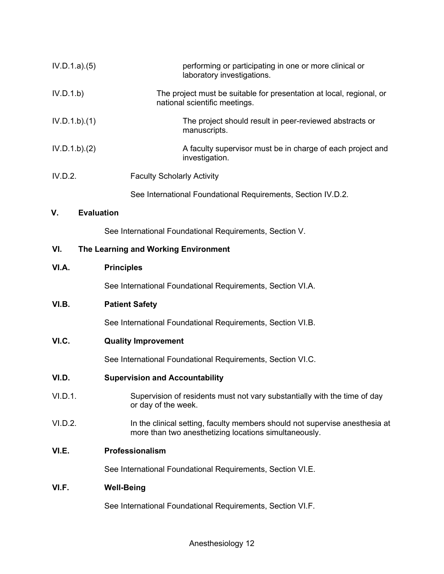| IV.D.1.a)(5) |                   | performing or participating in one or more clinical or<br>laboratory investigations.                                                 |
|--------------|-------------------|--------------------------------------------------------------------------------------------------------------------------------------|
| IV.D.1.b)    |                   | The project must be suitable for presentation at local, regional, or<br>national scientific meetings.                                |
| IV.D.1.b)(1) |                   | The project should result in peer-reviewed abstracts or<br>manuscripts.                                                              |
| IV.D.1.b)(2) |                   | A faculty supervisor must be in charge of each project and<br>investigation.                                                         |
| IV.D.2.      |                   | <b>Faculty Scholarly Activity</b>                                                                                                    |
|              |                   | See International Foundational Requirements, Section IV.D.2.                                                                         |
| V.           | <b>Evaluation</b> |                                                                                                                                      |
|              |                   | See International Foundational Requirements, Section V.                                                                              |
| VI.          |                   | The Learning and Working Environment                                                                                                 |
| VI.A.        |                   | <b>Principles</b>                                                                                                                    |
|              |                   | See International Foundational Requirements, Section VI.A.                                                                           |
| VI.B.        |                   | <b>Patient Safety</b>                                                                                                                |
|              |                   | See International Foundational Requirements, Section VI.B.                                                                           |
| VI.C.        |                   | <b>Quality Improvement</b>                                                                                                           |
|              |                   | See International Foundational Requirements, Section VI.C.                                                                           |
| VI.D.        |                   | <b>Supervision and Accountability</b>                                                                                                |
| VI.D.1.      |                   | Supervision of residents must not vary substantially with the time of day<br>or day of the week.                                     |
| VI.D.2.      |                   | In the clinical setting, faculty members should not supervise anesthesia at<br>more than two anesthetizing locations simultaneously. |
| VI.E.        |                   | Professionalism                                                                                                                      |
|              |                   | See International Foundational Requirements, Section VI.E.                                                                           |
| VI.F.        |                   | <b>Well-Being</b>                                                                                                                    |
|              |                   | See International Foundational Requirements, Section VI.F.                                                                           |